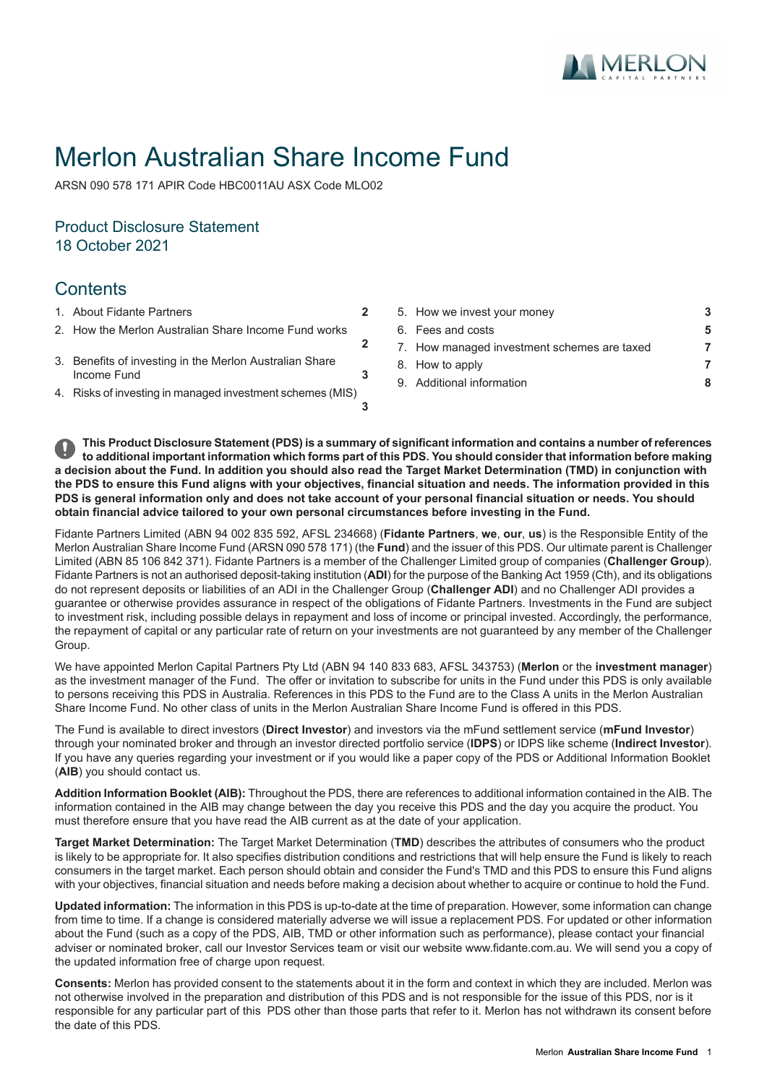

# Merlon Australian Share Income Fund

ARSN 090 578 171 APIR Code HBC0011AU ASX Code MLO02

# Product Disclosure Statement 18 October 2021

# **Contents**

- 
- 2. How the Merlon [Australian](#page-1-1) Share Income Fund works
- 3. Benefits of investing in the Merlon [Australian](#page-2-1) Share [Income](#page-2-1) Fund
- 4. Risks of investing in managed [investment](#page-2-2) schemes (MIS)
- 1. About Fidante [Partners](#page-1-0) **[2](#page-1-0)** 5. How we invest your [money](#page-2-0) **[3](#page-2-0)** 6. Fees and [costs](#page-4-0) **[5](#page-4-0)** 7. How managed [investment](#page-6-0) schemes are taxed **[7](#page-6-0)** 8. How to [apply](#page-6-1) **[7](#page-6-1)** 9. Additional [information](#page-7-0) **[8](#page-7-0)**

This Product Disclosure Statement (PDS) is a summary of significant information and contains a number of references to additional important information which forms part of this PDS. You should consider that information before making a decision about the Fund. In addition you should also read the Target Market Determination (TMD) in conjunction with the PDS to ensure this Fund aligns with your objectives, financial situation and needs. The information provided in this PDS is general information only and does not take account of your personal financial situation or needs. You should **obtain financial advice tailored to your own personal circumstances before investing in the Fund.**

**[2](#page-1-1)**

**[3](#page-2-1)**

**[3](#page-2-2)**

Fidante Partners Limited (ABN 94 002 835 592, AFSL 234668) (**Fidante Partners**, **we**, **our**, **us**) is the Responsible Entity of the Merlon Australian Share Income Fund (ARSN 090 578 171) (the **Fund**) and the issuer of this PDS. Our ultimate parent is Challenger Limited (ABN 85 106 842 371). Fidante Partners is a member of the Challenger Limited group of companies (**Challenger Group**). Fidante Partners is not an authorised deposit-taking institution (**ADI**) for the purpose of the Banking Act 1959 (Cth), and its obligations do not represent deposits or liabilities of an ADI in the Challenger Group (**Challenger ADI**) and no Challenger ADI provides a guarantee or otherwise provides assurance in respect of the obligations of Fidante Partners. Investments in the Fund are subject to investment risk, including possible delays in repayment and loss of income or principal invested. Accordingly, the performance, the repayment of capital or any particular rate of return on your investments are not guaranteed by any member of the Challenger Group.

We have appointed Merlon Capital Partners Pty Ltd (ABN 94 140 833 683, AFSL 343753) (**Merlon** or the **investment manager**) as the investment manager of the Fund. The offer or invitation to subscribe for units in the Fund under this PDS is only available to persons receiving this PDS in Australia. References in this PDS to the Fund are to the Class A units in the Merlon Australian Share Income Fund. No other class of units in the Merlon Australian Share Income Fund is offered in this PDS.

The Fund is available to direct investors (**Direct Investor**) and investors via the mFund settlement service (**mFund Investor**) through your nominated broker and through an investor directed portfolio service (**IDPS**) or IDPS like scheme (**Indirect Investor**). If you have any queries regarding your investment or if you would like a paper copy of the PDS or Additional Information Booklet (**AIB**) you should contact us.

**Addition Information Booklet (AIB):** Throughout the PDS, there are references to additional information contained in the AIB. The information contained in the AIB may change between the day you receive this PDS and the day you acquire the product. You must therefore ensure that you have read the AIB current as at the date of your application.

**Target Market Determination:** The Target Market Determination (**TMD**) describes the attributes of consumers who the product is likely to be appropriate for. It also specifies distribution conditions and restrictions that will help ensure the Fund is likely to reach consumers in the target market. Each person should obtain and consider the Fund's TMD and this PDS to ensure this Fund aligns with your objectives, financial situation and needs before making a decision about whether to acquire or continue to hold the Fund.

**Updated information:** The information in this PDS is up-to-date at the time of preparation. However, some information can change from time to time. If a change is considered materially adverse we will issue a replacement PDS. For updated or other information about the Fund (such as a copy of the PDS, AIB, TMD or other information such as performance), please contact your financial adviser or nominated broker, call our Investor Services team or visit our website www.fidante.com.au. We will send you a copy of the updated information free of charge upon request.

**Consents:** Merlon has provided consent to the statements about it in the form and context in which they are included. Merlon was not otherwise involved in the preparation and distribution of this PDS and is not responsible for the issue of this PDS, nor is it responsible for any particular part of this PDS other than those parts that refer to it. Merlon has not withdrawn its consent before the date of this PDS.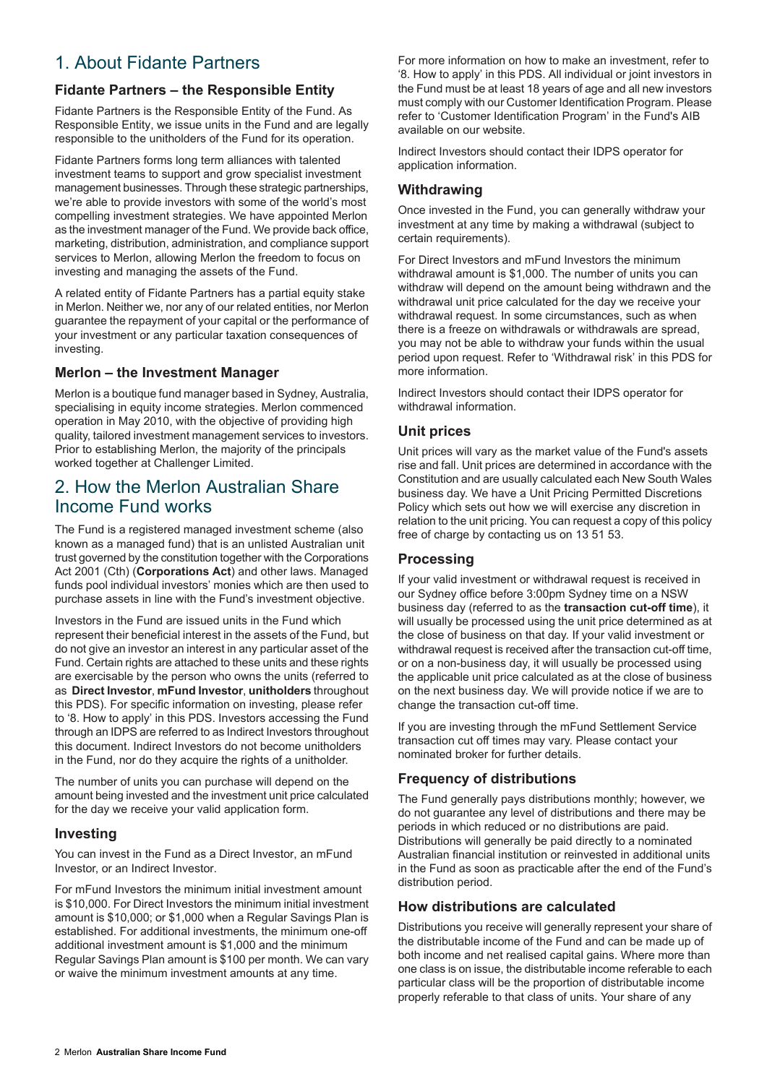# <span id="page-1-0"></span>1. About Fidante Partners

# **Fidante Partners – the Responsible Entity**

Fidante Partners is the Responsible Entity of the Fund. As Responsible Entity, we issue units in the Fund and are legally responsible to the unitholders of the Fund for its operation.

Fidante Partners forms long term alliances with talented investment teams to support and grow specialist investment management businesses. Through these strategic partnerships, we're able to provide investors with some of the world's most compelling investment strategies. We have appointed Merlon as the investment manager of the Fund. We provide back office, marketing, distribution, administration, and compliance support services to Merlon, allowing Merlon the freedom to focus on investing and managing the assets of the Fund.

A related entity of Fidante Partners has a partial equity stake in Merlon. Neither we, nor any of our related entities, nor Merlon guarantee the repayment of your capital or the performance of your investment or any particular taxation consequences of investing.

### **Merlon – the Investment Manager**

<span id="page-1-1"></span>Merlon is a boutique fund manager based in Sydney, Australia, specialising in equity income strategies. Merlon commenced operation in May 2010, with the objective of providing high quality, tailored investment management services to investors. Prior to establishing Merlon, the majority of the principals worked together at Challenger Limited.

# 2. How the Merlon Australian Share Income Fund works

The Fund is a registered managed investment scheme (also known as a managed fund) that is an unlisted Australian unit trust governed by the constitution together with the Corporations Act 2001 (Cth) (**Corporations Act**) and other laws. Managed funds pool individual investors' monies which are then used to purchase assets in line with the Fund's investment objective.

Investors in the Fund are issued units in the Fund which represent their beneficial interest in the assets of the Fund, but do not give an investor an interest in any particular asset of the Fund. Certain rights are attached to these units and these rights are exercisable by the person who owns the units (referred to as **Direct Investor**, **mFund Investor**, **unitholders** throughout this PDS). For specific information on investing, please refer to '8. How to apply' in this PDS. Investors accessing the Fund through an IDPS are referred to as Indirect Investors throughout this document. Indirect Investors do not become unitholders in the Fund, nor do they acquire the rights of a unitholder.

The number of units you can purchase will depend on the amount being invested and the investment unit price calculated for the day we receive your valid application form.

### **Investing**

You can invest in the Fund as a Direct Investor, an mFund Investor, or an Indirect Investor.

For mFund Investors the minimum initial investment amount is \$10,000. For Direct Investors the minimum initial investment amount is \$10,000; or \$1,000 when a Regular Savings Plan is established. For additional investments, the minimum one-off additional investment amount is \$1,000 and the minimum Regular Savings Plan amount is \$100 per month. We can vary or waive the minimum investment amounts at any time.

For more information on how to make an investment, refer to '8. How to apply' in this PDS. All individual or joint investors in the Fund must be at least 18 years of age and all new investors must comply with our Customer Identification Program. Please refer to 'Customer Identification Program' in the Fund's AIB available on our website.

Indirect Investors should contact their IDPS operator for application information.

### **Withdrawing**

Once invested in the Fund, you can generally withdraw your investment at any time by making a withdrawal (subject to certain requirements).

For Direct Investors and mFund Investors the minimum withdrawal amount is \$1,000. The number of units you can withdraw will depend on the amount being withdrawn and the withdrawal unit price calculated for the day we receive your withdrawal request. In some circumstances, such as when there is a freeze on withdrawals or withdrawals are spread, you may not be able to withdraw your funds within the usual period upon request. Refer to 'Withdrawal risk' in this PDS for more information.

Indirect Investors should contact their IDPS operator for withdrawal information.

### **Unit prices**

Unit prices will vary as the market value of the Fund's assets rise and fall. Unit prices are determined in accordance with the Constitution and are usually calculated each New South Wales business day. We have a Unit Pricing Permitted Discretions Policy which sets out how we will exercise any discretion in relation to the unit pricing. You can request a copy of this policy free of charge by contacting us on 13 51 53.

### **Processing**

If your valid investment or withdrawal request is received in our Sydney office before 3:00pm Sydney time on a NSW business day (referred to as the **transaction cut-off time**), it will usually be processed using the unit price determined as at the close of business on that day. If your valid investment or withdrawal request is received after the transaction cut-off time, or on a non-business day, it will usually be processed using the applicable unit price calculated as at the close of business on the next business day. We will provide notice if we are to change the transaction cut-off time.

If you are investing through the mFund Settlement Service transaction cut off times may vary. Please contact your nominated broker for further details.

# **Frequency of distributions**

The Fund generally pays distributions monthly; however, we do not guarantee any level of distributions and there may be periods in which reduced or no distributions are paid. Distributions will generally be paid directly to a nominated Australian financial institution or reinvested in additional units in the Fund as soon as practicable after the end of the Fund's distribution period.

# **How distributions are calculated**

Distributions you receive will generally represent your share of the distributable income of the Fund and can be made up of both income and net realised capital gains. Where more than one class is on issue, the distributable income referable to each particular class will be the proportion of distributable income properly referable to that class of units. Your share of any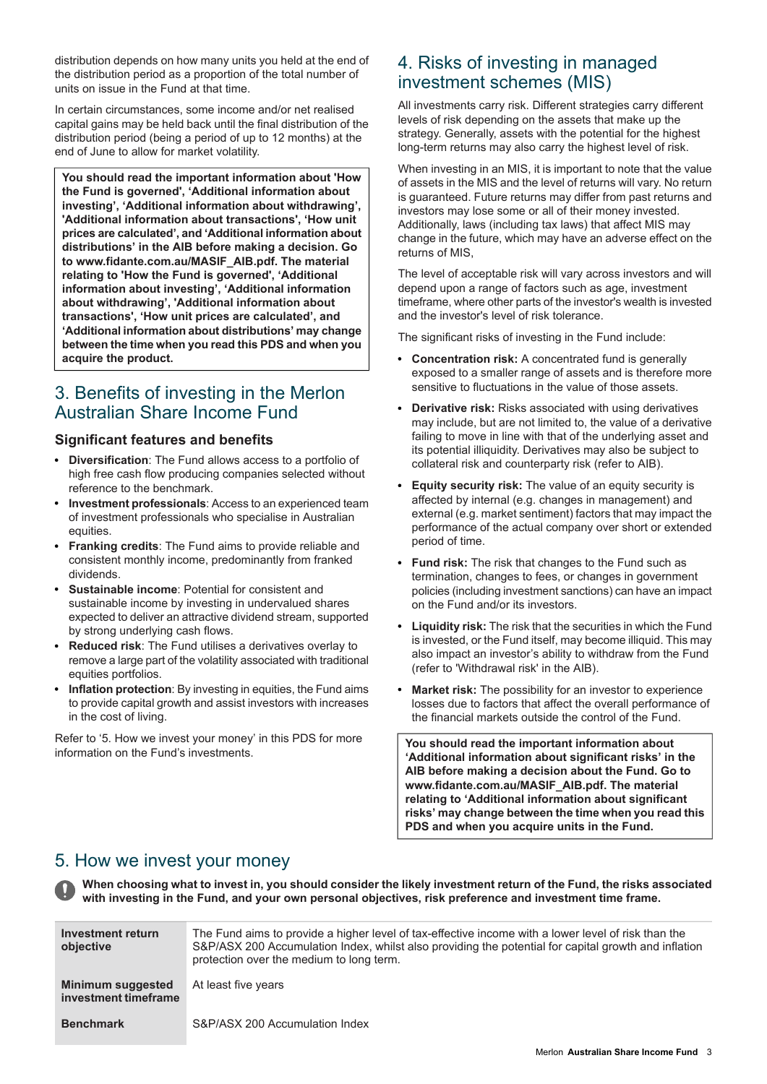distribution depends on how many units you held at the end of the distribution period as a proportion of the total number of units on issue in the Fund at that time.

In certain circumstances, some income and/or net realised capital gains may be held back until the final distribution of the distribution period (being a period of up to 12 months) at the end of June to allow for market volatility.

**You should read the important information about 'How the Fund is governed', 'Additional information about investing', 'Additional information about withdrawing', 'Additional information about transactions', 'How unit prices are calculated', and 'Additional information about distributions' in the AIB before making a decision. Go to www.fidante.com.au/MASIF\_AIB.pdf. The material relating to 'How the Fund is governed', 'Additional information about investing', 'Additional information about withdrawing', 'Additional information about transactions', 'How unit prices are calculated', and 'Additional information about distributions' may change between the time when you read this PDS and when you acquire the product.**

# <span id="page-2-1"></span>3. Benefits of investing in the Merlon Australian Share Income Fund

### **Significant features and benefits**

- **Diversification**: The Fund allows access to a portfolio of  $\bullet$ high free cash flow producing companies selected without reference to the benchmark.
- **Investment professionals**: Access to an experienced team of investment professionals who specialise in Australian equities.
- **Franking credits**: The Fund aims to provide reliable and consistent monthly income, predominantly from franked dividends.
- **Sustainable income**: Potential for consistent and sustainable income by investing in undervalued shares expected to deliver an attractive dividend stream, supported by strong underlying cash flows.
- **Reduced risk**: The Fund utilises a derivatives overlay to remove a large part of the volatility associated with traditional equities portfolios.
- **Inflation protection**: By investing in equities, the Fund aims to provide capital growth and assist investors with increases in the cost of living.

<span id="page-2-0"></span>Refer to '5. How we invest your money' in this PDS for more information on the Fund's investments.

# <span id="page-2-2"></span>4. Risks of investing in managed investment schemes (MIS)

All investments carry risk. Different strategies carry different levels of risk depending on the assets that make up the strategy. Generally, assets with the potential for the highest long-term returns may also carry the highest level of risk.

When investing in an MIS, it is important to note that the value of assets in the MIS and the level of returns will vary. No return is guaranteed. Future returns may differ from past returns and investors may lose some or all of their money invested. Additionally, laws (including tax laws) that affect MIS may change in the future, which may have an adverse effect on the returns of MIS,

The level of acceptable risk will vary across investors and will depend upon a range of factors such as age, investment timeframe, where other parts of the investor's wealth is invested and the investor's level of risk tolerance.

The significant risks of investing in the Fund include:

- **Concentration risk:** A concentrated fund is generally  $\bullet$ exposed to a smaller range of assets and is therefore more sensitive to fluctuations in the value of those assets.
- **Derivative risk:** Risks associated with using derivatives may include, but are not limited to, the value of a derivative failing to move in line with that of the underlying asset and its potential illiquidity. Derivatives may also be subject to collateral risk and counterparty risk (refer to AIB).
- **Equity security risk:** The value of an equity security is affected by internal (e.g. changes in management) and external (e.g. market sentiment) factors that may impact the performance of the actual company over short or extended period of time.
- **Fund risk:** The risk that changes to the Fund such as termination, changes to fees, or changes in government policies (including investment sanctions) can have an impact on the Fund and/or its investors.
- **Liquidity risk:** The risk that the securities in which the Fund is invested, or the Fund itself, may become illiquid. This may also impact an investor's ability to withdraw from the Fund (refer to 'Withdrawal risk' in the AIB).
- **Market risk:** The possibility for an investor to experience losses due to factors that affect the overall performance of the financial markets outside the control of the Fund.

**You should read the important information about 'Additional information about significant risks' in the AIB before making a decision about the Fund. Go to www.fidante.com.au/MASIF\_AIB.pdf. The material relating to 'Additional information about significant risks' may change between the time when you read this PDS and when you acquire units in the Fund.**

# 5. How we invest your money

When choosing what to invest in, you should consider the likely investment return of the Fund, the risks associated **with investing in the Fund, and your own personal objectives, risk preference and investment time frame.**

| Investment return<br>objective            | The Fund aims to provide a higher level of tax-effective income with a lower level of risk than the<br>S&P/ASX 200 Accumulation Index, whilst also providing the potential for capital growth and inflation<br>protection over the medium to long term. |
|-------------------------------------------|---------------------------------------------------------------------------------------------------------------------------------------------------------------------------------------------------------------------------------------------------------|
| Minimum suggested<br>investment timeframe | At least five years                                                                                                                                                                                                                                     |
| <b>Benchmark</b>                          | S&P/ASX 200 Accumulation Index                                                                                                                                                                                                                          |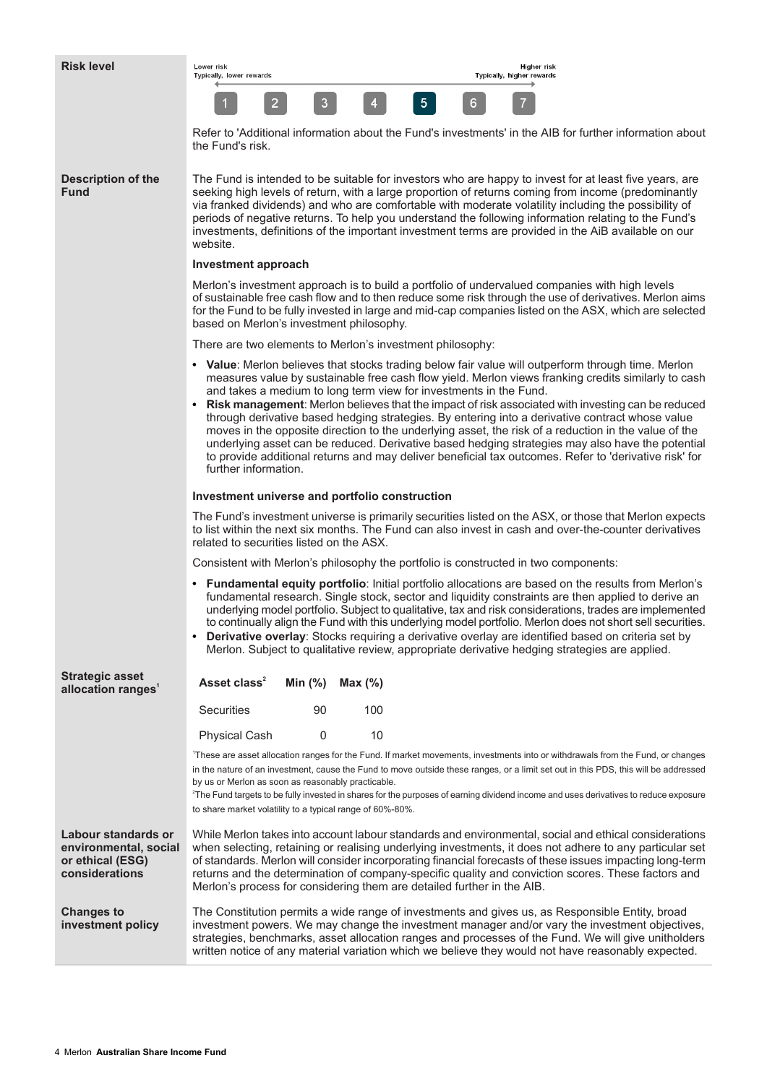| <b>Risk level</b>                                                                  | <b>Higher risk</b><br>Lower risk<br>Typically, lower rewards<br>Typically, higher rewards                                                                                                                                                                                                                                                                                                                                                                                                                                                                                                                                                 |  |  |  |  |
|------------------------------------------------------------------------------------|-------------------------------------------------------------------------------------------------------------------------------------------------------------------------------------------------------------------------------------------------------------------------------------------------------------------------------------------------------------------------------------------------------------------------------------------------------------------------------------------------------------------------------------------------------------------------------------------------------------------------------------------|--|--|--|--|
|                                                                                    | 5 <sub>1</sub><br>$\overline{2}$<br>3<br>6                                                                                                                                                                                                                                                                                                                                                                                                                                                                                                                                                                                                |  |  |  |  |
|                                                                                    | Refer to 'Additional information about the Fund's investments' in the AIB for further information about<br>the Fund's risk.                                                                                                                                                                                                                                                                                                                                                                                                                                                                                                               |  |  |  |  |
| <b>Description of the</b><br><b>Fund</b>                                           | The Fund is intended to be suitable for investors who are happy to invest for at least five years, are<br>seeking high levels of return, with a large proportion of returns coming from income (predominantly<br>via franked dividends) and who are comfortable with moderate volatility including the possibility of<br>periods of negative returns. To help you understand the following information relating to the Fund's<br>investments, definitions of the important investment terms are provided in the AiB available on our<br>website.                                                                                          |  |  |  |  |
|                                                                                    | Investment approach                                                                                                                                                                                                                                                                                                                                                                                                                                                                                                                                                                                                                       |  |  |  |  |
|                                                                                    | Merlon's investment approach is to build a portfolio of undervalued companies with high levels<br>of sustainable free cash flow and to then reduce some risk through the use of derivatives. Merlon aims<br>for the Fund to be fully invested in large and mid-cap companies listed on the ASX, which are selected<br>based on Merlon's investment philosophy.                                                                                                                                                                                                                                                                            |  |  |  |  |
|                                                                                    | There are two elements to Merlon's investment philosophy:                                                                                                                                                                                                                                                                                                                                                                                                                                                                                                                                                                                 |  |  |  |  |
|                                                                                    | • Value: Merlon believes that stocks trading below fair value will outperform through time. Merlon<br>measures value by sustainable free cash flow yield. Merlon views franking credits similarly to cash<br>and takes a medium to long term view for investments in the Fund.<br>Risk management: Merlon believes that the impact of risk associated with investing can be reduced                                                                                                                                                                                                                                                       |  |  |  |  |
|                                                                                    | through derivative based hedging strategies. By entering into a derivative contract whose value<br>moves in the opposite direction to the underlying asset, the risk of a reduction in the value of the<br>underlying asset can be reduced. Derivative based hedging strategies may also have the potential<br>to provide additional returns and may deliver beneficial tax outcomes. Refer to 'derivative risk' for<br>further information.                                                                                                                                                                                              |  |  |  |  |
|                                                                                    | Investment universe and portfolio construction                                                                                                                                                                                                                                                                                                                                                                                                                                                                                                                                                                                            |  |  |  |  |
|                                                                                    | The Fund's investment universe is primarily securities listed on the ASX, or those that Merlon expects<br>to list within the next six months. The Fund can also invest in cash and over-the-counter derivatives<br>related to securities listed on the ASX.                                                                                                                                                                                                                                                                                                                                                                               |  |  |  |  |
|                                                                                    | Consistent with Merlon's philosophy the portfolio is constructed in two components:                                                                                                                                                                                                                                                                                                                                                                                                                                                                                                                                                       |  |  |  |  |
|                                                                                    | • Fundamental equity portfolio: Initial portfolio allocations are based on the results from Merlon's<br>fundamental research. Single stock, sector and liquidity constraints are then applied to derive an<br>underlying model portfolio. Subject to qualitative, tax and risk considerations, trades are implemented<br>to continually align the Fund with this underlying model portfolio. Merlon does not short sell securities.<br>Derivative overlay: Stocks requiring a derivative overlay are identified based on criteria set by<br>Merlon. Subject to qualitative review, appropriate derivative hedging strategies are applied. |  |  |  |  |
| <b>Strategic asset</b><br>allocation ranges <sup>1</sup>                           | Asset class <sup>2</sup><br>Min $(%)$<br>Max (%)                                                                                                                                                                                                                                                                                                                                                                                                                                                                                                                                                                                          |  |  |  |  |
|                                                                                    | <b>Securities</b><br>90<br>100                                                                                                                                                                                                                                                                                                                                                                                                                                                                                                                                                                                                            |  |  |  |  |
|                                                                                    | 0<br>10<br><b>Physical Cash</b>                                                                                                                                                                                                                                                                                                                                                                                                                                                                                                                                                                                                           |  |  |  |  |
|                                                                                    | These are asset allocation ranges for the Fund. If market movements, investments into or withdrawals from the Fund, or changes                                                                                                                                                                                                                                                                                                                                                                                                                                                                                                            |  |  |  |  |
|                                                                                    | in the nature of an investment, cause the Fund to move outside these ranges, or a limit set out in this PDS, this will be addressed<br>by us or Merlon as soon as reasonably practicable.<br><sup>2</sup> The Fund targets to be fully invested in shares for the purposes of earning dividend income and uses derivatives to reduce exposure<br>to share market volatility to a typical range of 60%-80%.                                                                                                                                                                                                                                |  |  |  |  |
| Labour standards or<br>environmental, social<br>or ethical (ESG)<br>considerations | While Merlon takes into account labour standards and environmental, social and ethical considerations<br>when selecting, retaining or realising underlying investments, it does not adhere to any particular set<br>of standards. Merlon will consider incorporating financial forecasts of these issues impacting long-term<br>returns and the determination of company-specific quality and conviction scores. These factors and<br>Merlon's process for considering them are detailed further in the AIB.                                                                                                                              |  |  |  |  |

The Constitution permits a wide range of investments and gives us, as Responsible Entity, broad investment powers. We may change the investment manager and/or vary the investment objectives, strategies, benchmarks, asset allocation ranges and processes of the Fund. We will give unitholders written notice of any material variation which we believe they would not have reasonably expected. **Changes to investment policy**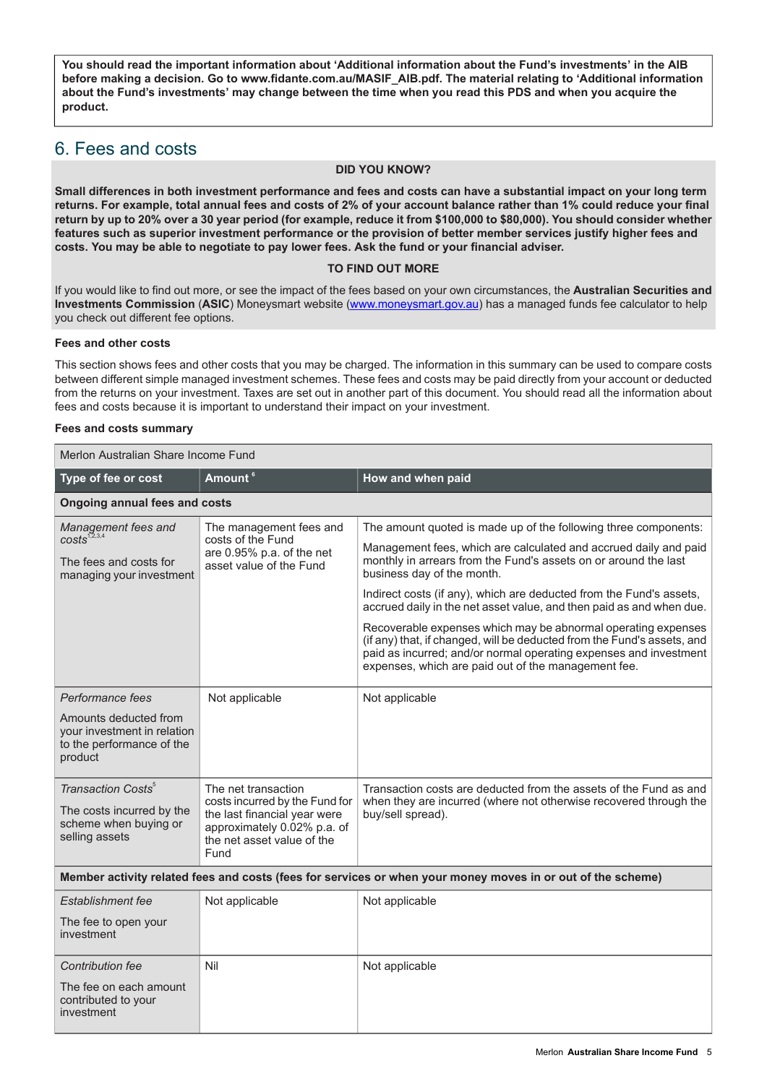**You should read the important information about 'Additional information about the Fund's investments' in the AIB before making a decision. Go to www.fidante.com.au/MASIF\_AIB.pdf. The material relating to 'Additional information** about the Fund's investments' may change between the time when you read this PDS and when you acquire the **product.**

# <span id="page-4-0"></span>6. Fees and costs

#### **DID YOU KNOW?**

Small differences in both investment performance and fees and costs can have a substantial impact on your long term returns. For example, total annual fees and costs of 2% of your account balance rather than 1% could reduce your final return by up to 20% over a 30 year period (for example, reduce it from \$100,000 to \$80,000). You should consider whether features such as superior investment performance or the provision of better member services justify higher fees and **costs. You may be able to negotiate to pay lower fees. Ask the fund or your financial adviser.**

#### **TO FIND OUT MORE**

If you would like to find out more, or see the impact of the fees based on your own circumstances, the **Australian Securities and Investments Commission** (**ASIC**) Moneysmart website ([www.moneysmart.gov.au\)](http://www.moneysmart.gov.au) has a managed funds fee calculator to help you check out different fee options.

#### **Fees and other costs**

This section shows fees and other costs that you may be charged. The information in this summary can be used to compare costs between different simple managed investment schemes. These fees and costs may be paid directly from your account or deducted from the returns on your investment. Taxes are set out in another part of this document. You should read all the information about fees and costs because it is important to understand their impact on your investment.

#### **Fees and costs summary**

Merlon Australian Share Income Fund

| Type of fee or cost                                                                                    | Amount <sup>6</sup>                                                                                                                                        | How and when paid                                                                                                                                                                                                                                                    |  |  |
|--------------------------------------------------------------------------------------------------------|------------------------------------------------------------------------------------------------------------------------------------------------------------|----------------------------------------------------------------------------------------------------------------------------------------------------------------------------------------------------------------------------------------------------------------------|--|--|
| <b>Ongoing annual fees and costs</b>                                                                   |                                                                                                                                                            |                                                                                                                                                                                                                                                                      |  |  |
| Management fees and<br>$costs^{1,2,3,4}$                                                               | The management fees and<br>costs of the Fund                                                                                                               | The amount quoted is made up of the following three components:                                                                                                                                                                                                      |  |  |
| The fees and costs for<br>managing your investment                                                     | are 0.95% p.a. of the net<br>asset value of the Fund                                                                                                       | Management fees, which are calculated and accrued daily and paid<br>monthly in arrears from the Fund's assets on or around the last<br>business day of the month.                                                                                                    |  |  |
|                                                                                                        |                                                                                                                                                            | Indirect costs (if any), which are deducted from the Fund's assets,<br>accrued daily in the net asset value, and then paid as and when due.                                                                                                                          |  |  |
|                                                                                                        |                                                                                                                                                            | Recoverable expenses which may be abnormal operating expenses<br>(if any) that, if changed, will be deducted from the Fund's assets, and<br>paid as incurred; and/or normal operating expenses and investment<br>expenses, which are paid out of the management fee. |  |  |
| Performance fees                                                                                       | Not applicable                                                                                                                                             | Not applicable                                                                                                                                                                                                                                                       |  |  |
| Amounts deducted from<br>your investment in relation<br>to the performance of the<br>product           |                                                                                                                                                            |                                                                                                                                                                                                                                                                      |  |  |
| Transaction Costs <sup>5</sup><br>The costs incurred by the<br>scheme when buying or<br>selling assets | The net transaction<br>costs incurred by the Fund for<br>the last financial year were<br>approximately 0.02% p.a. of<br>the net asset value of the<br>Fund | Transaction costs are deducted from the assets of the Fund as and<br>when they are incurred (where not otherwise recovered through the<br>buy/sell spread).                                                                                                          |  |  |
|                                                                                                        |                                                                                                                                                            | Member activity related fees and costs (fees for services or when your money moves in or out of the scheme)                                                                                                                                                          |  |  |
| Establishment fee                                                                                      | Not applicable                                                                                                                                             | Not applicable                                                                                                                                                                                                                                                       |  |  |
| The fee to open your<br>investment                                                                     |                                                                                                                                                            |                                                                                                                                                                                                                                                                      |  |  |
| Contribution fee                                                                                       | Nil                                                                                                                                                        | Not applicable                                                                                                                                                                                                                                                       |  |  |
| The fee on each amount<br>contributed to your<br>investment                                            |                                                                                                                                                            |                                                                                                                                                                                                                                                                      |  |  |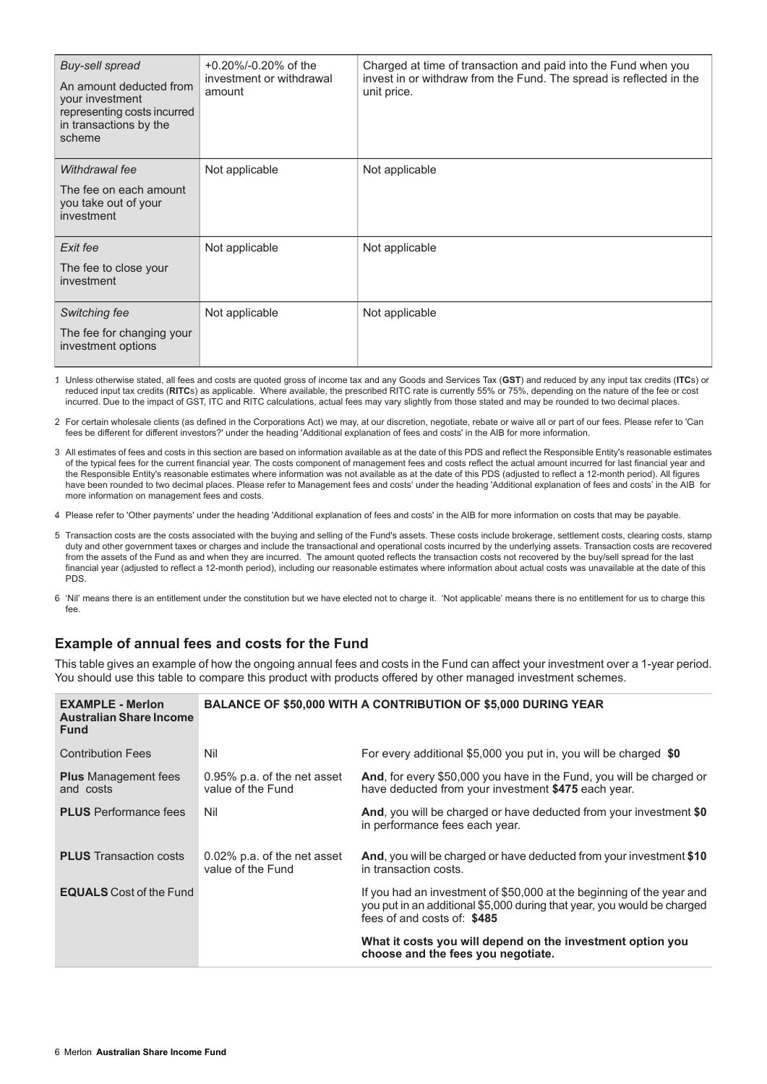| Buy-sell spread<br>An amount deducted from<br>your investment<br>representing costs incurred<br>in transactions by the<br>scheme | $+0.20\%$ /-0.20% of the<br>investment or withdrawal<br>amount | Charged at time of transaction and paid into the Fund when you<br>invest in or withdraw from the Fund. The spread is reflected in the<br>unit price. |
|----------------------------------------------------------------------------------------------------------------------------------|----------------------------------------------------------------|------------------------------------------------------------------------------------------------------------------------------------------------------|
| Withdrawal fee<br>The fee on each amount<br>you take out of your<br>investment                                                   | Not applicable                                                 | Not applicable                                                                                                                                       |
| Exit fee<br>The fee to close your<br>investment                                                                                  | Not applicable                                                 | Not applicable                                                                                                                                       |
| Switching fee<br>The fee for changing your<br>investment options                                                                 | Not applicable                                                 | Not applicable                                                                                                                                       |

1. Unless otherwise stated, all fees and costs are quoted gross of income tax and any Goods and Services Tax (**GST**) and reduced by any input tax credits (**ITC**s) or reduced input tax credits (**RITC**s) as applicable. Where available, the prescribed RITC rate is currently 55% or 75%, depending on the nature of the fee or cost incurred. Due to the impact of GST, ITC and RITC calculations, actual fees may vary slightly from those stated and may be rounded to two decimal places.

2. For certain wholesale clients (as defined in the Corporations Act) we may, at our discretion, negotiate, rebate or waive all or part of our fees. Please refer to 'Can fees be different for different investors?' under the heading 'Additional explanation of fees and costs' in the AIB for more information.

3. All estimates of fees and costs in this section are based on information available as at the date of this PDS and reflect the Responsible Entity's reasonable estimates of the typical fees for the current financial year. The costs component of management fees and costs reflect the actual amount incurred for last financial year and the Responsible Entity's reasonable estimates where information was not available as at the date of this PDS (adjusted to reflect a 12-month period). All figures have been rounded to two decimal places. Please refer to Management fees and costs' under the heading 'Additional explanation of fees and costs' in the AIB for more information on management fees and costs.

4. Please refer to 'Other payments' under the heading 'Additional explanation of fees and costs' in the AIB for more information on costs that may be payable.

5. Transaction costs are the costs associated with the buying and selling of the Fund's assets. These costs include brokerage, settlement costs, clearing costs, stamp duty and other government taxes or charges and include the transactional and operational costs incurred by the underlying assets. Transaction costs are recovered from the assets of the Fund as and when they are incurred. The amount quoted reflects the transaction costs not recovered by the buy/sell spread for the last financial year (adjusted to reflect a 12-month period), including our reasonable estimates where information about actual costs was unavailable at the date of this PDS.

6. 'Nil' means there is an entitlement under the constitution but we have elected not to charge it. 'Not applicable' means there is no entitlement for us to charge this fee

# **Example of annual fees and costs for the Fund**

This table gives an example of how the ongoing annual fees and costs in the Fund can affect your investment over a 1-year period. You should use this table to compare this product with products offered by other managed investment schemes.

| <b>EXAMPLE - Merlon</b><br><b>Australian Share Income</b><br><b>Fund</b> |                                                  | <b>BALANCE OF \$50,000 WITH A CONTRIBUTION OF \$5,000 DURING YEAR</b>                                                                                                           |
|--------------------------------------------------------------------------|--------------------------------------------------|---------------------------------------------------------------------------------------------------------------------------------------------------------------------------------|
| <b>Contribution Fees</b>                                                 | Nil                                              | For every additional \$5,000 you put in, you will be charged \$0                                                                                                                |
| <b>Plus</b> Management fees<br>and costs                                 | 0.95% p.a. of the net asset<br>value of the Fund | And, for every \$50,000 you have in the Fund, you will be charged or<br>have deducted from your investment \$475 each year.                                                     |
| <b>PLUS</b> Performance fees                                             | Nil                                              | And, you will be charged or have deducted from your investment \$0<br>in performance fees each year.                                                                            |
| <b>PLUS</b> Transaction costs                                            | 0.02% p.a. of the net asset<br>value of the Fund | And, you will be charged or have deducted from your investment \$10<br>in transaction costs.                                                                                    |
| <b>EQUALS</b> Cost of the Fund                                           |                                                  | If you had an investment of \$50,000 at the beginning of the year and<br>you put in an additional \$5,000 during that year, you would be charged<br>fees of and costs of: \$485 |
|                                                                          |                                                  | What it costs you will depend on the investment option you<br>choose and the fees you negotiate.                                                                                |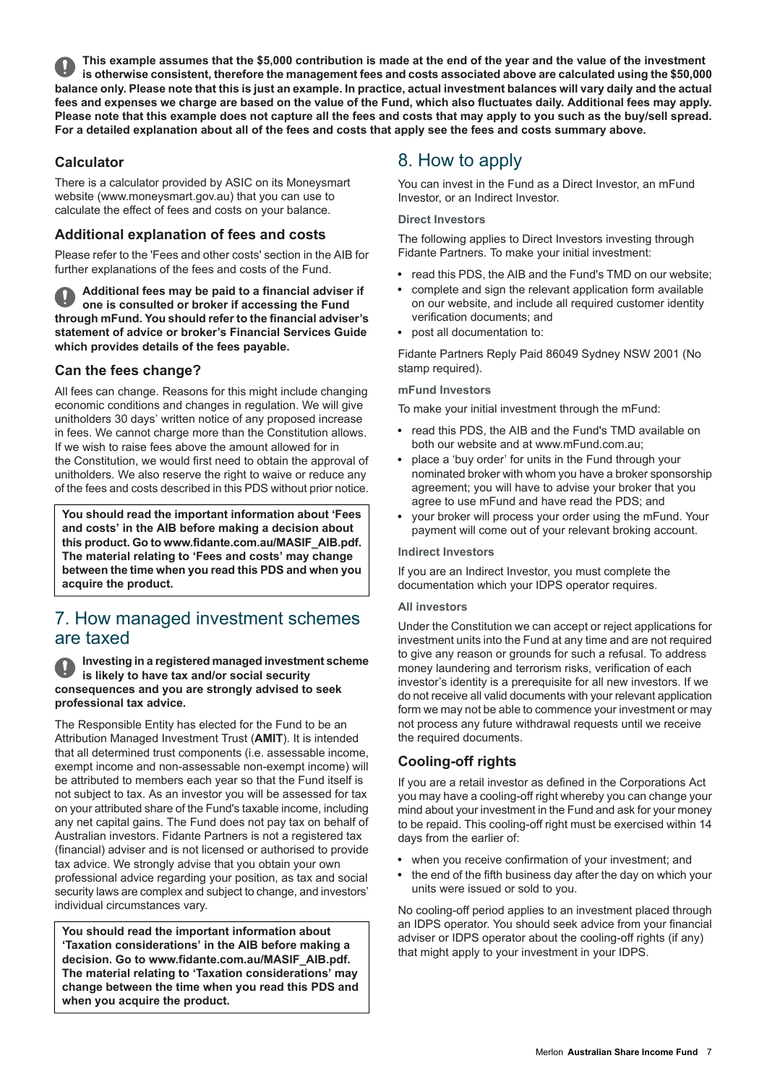This example assumes that the \$5,000 contribution is made at the end of the year and the value of the investment is otherwise consistent, therefore the management fees and costs associated above are calculated using the \$50,000 balance only. Please note that this is just an example. In practice, actual investment balances will vary daily and the actual fees and expenses we charge are based on the value of the Fund, which also fluctuates daily. Additional fees may apply. Please note that this example does not capture all the fees and costs that may apply to you such as the buy/sell spread. For a detailed explanation about all of the fees and costs that apply see the fees and costs summary above.

# **Calculator**

There is a calculator provided by ASIC on its Moneysmart website (www.moneysmart.gov.au) that you can use to calculate the effect of fees and costs on your balance.

# **Additional explanation of fees and costs**

Please refer to the 'Fees and other costs' section in the AIB for further explanations of the fees and costs of the Fund.

**Additional fees may be paid to a financial adviser if one is consulted or broker if accessing the Fund through mFund. You should refer to the financial adviser's statement of advice or broker's Financial Services Guide which provides details of the fees payable.**

# **Can the fees change?**

All fees can change. Reasons for this might include changing economic conditions and changes in regulation. We will give unitholders 30 days' written notice of any proposed increase in fees. We cannot charge more than the Constitution allows. If we wish to raise fees above the amount allowed for in the Constitution, we would first need to obtain the approval of unitholders. We also reserve the right to waive or reduce any of the fees and costs described in this PDS without prior notice.

<span id="page-6-0"></span>**You should read the important information about 'Fees and costs' in the AIB before making a decision about this product. Go to www.fidante.com.au/MASIF\_AIB.pdf. The material relating to 'Fees and costs' may change between the time when you read this PDS and when you acquire the product.**

# 7. How managed investment schemes are taxed

**Investing in a registered managed investment scheme is likely to have tax and/or social security consequences and you are strongly advised to seek professional tax advice.**

The Responsible Entity has elected for the Fund to be an Attribution Managed Investment Trust (**AMIT**). It is intended that all determined trust components (i.e. assessable income, exempt income and non-assessable non-exempt income) will be attributed to members each year so that the Fund itself is not subject to tax. As an investor you will be assessed for tax on your attributed share of the Fund's taxable income, including any net capital gains. The Fund does not pay tax on behalf of Australian investors. Fidante Partners is not a registered tax (financial) adviser and is not licensed or authorised to provide tax advice. We strongly advise that you obtain your own professional advice regarding your position, as tax and social security laws are complex and subject to change, and investors' individual circumstances vary.

**You should read the important information about 'Taxation considerations' in the AIB before making a decision. Go to www.fidante.com.au/MASIF\_AIB.pdf. The material relating to 'Taxation considerations' may change between the time when you read this PDS and when you acquire the product.**

# <span id="page-6-1"></span>8. How to apply

You can invest in the Fund as a Direct Investor, an mFund Investor, or an Indirect Investor.

#### **Direct Investors**

The following applies to Direct Investors investing through Fidante Partners. To make your initial investment:

- read this PDS, the AIB and the Fund's TMD on our website;
- complete and sign the relevant application form available on our website, and include all required customer identity verification documents; and
- post all documentation to:

Fidante Partners Reply Paid 86049 Sydney NSW 2001 (No stamp required).

#### **mFund Investors**

To make your initial investment through the mFund:

- read this PDS, the AIB and the Fund's TMD available on both our website and at www.mFund.com.au;
- place a 'buy order' for units in the Fund through your nominated broker with whom you have a broker sponsorship agreement; you will have to advise your broker that you agree to use mFund and have read the PDS; and
- vour broker will process your order using the mFund. Your payment will come out of your relevant broking account.

#### **Indirect Investors**

If you are an Indirect Investor, you must complete the documentation which your IDPS operator requires.

#### **All investors**

Under the Constitution we can accept or reject applications for investment units into the Fund at any time and are not required to give any reason or grounds for such a refusal. To address money laundering and terrorism risks, verification of each investor's identity is a prerequisite for all new investors. If we do not receive all valid documents with your relevant application form we may not be able to commence your investment or may not process any future withdrawal requests until we receive the required documents.

# **Cooling-off rights**

If you are a retail investor as defined in the Corporations Act you may have a cooling-off right whereby you can change your mind about your investment in the Fund and ask for your money to be repaid. This cooling-off right must be exercised within 14 days from the earlier of:

- when you receive confirmation of your investment; and
- $\bullet$ the end of the fifth business day after the day on which your units were issued or sold to you.

No cooling-off period applies to an investment placed through an IDPS operator. You should seek advice from your financial adviser or IDPS operator about the cooling-off rights (if any) that might apply to your investment in your IDPS.